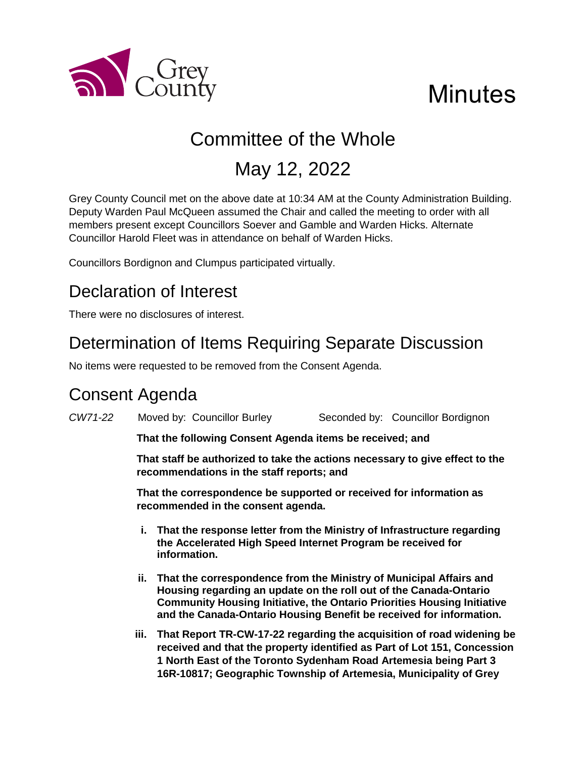

# **Minutes**

## Committee of the Whole

## May 12, 2022

Grey County Council met on the above date at 10:34 AM at the County Administration Building. Deputy Warden Paul McQueen assumed the Chair and called the meeting to order with all members present except Councillors Soever and Gamble and Warden Hicks. Alternate Councillor Harold Fleet was in attendance on behalf of Warden Hicks.

Councillors Bordignon and Clumpus participated virtually.

## Declaration of Interest

There were no disclosures of interest.

## Determination of Items Requiring Separate Discussion

No items were requested to be removed from the Consent Agenda.

## Consent Agenda

*CW71-22* Moved by: Councillor Burley Seconded by: Councillor Bordignon **That the following Consent Agenda items be received; and That staff be authorized to take the actions necessary to give effect to the recommendations in the staff reports; and That the correspondence be supported or received for information as recommended in the consent agenda. i. That the response letter from the Ministry of Infrastructure regarding the Accelerated High Speed Internet Program be received for information. ii. That the correspondence from the Ministry of Municipal Affairs and Housing regarding an update on the roll out of the Canada-Ontario Community Housing Initiative, the Ontario Priorities Housing Initiative** 

> **iii. That Report TR-CW-17-22 regarding the acquisition of road widening be received and that the property identified as Part of Lot 151, Concession 1 North East of the Toronto Sydenham Road Artemesia being Part 3 16R-10817; Geographic Township of Artemesia, Municipality of Grey**

**and the Canada-Ontario Housing Benefit be received for information.**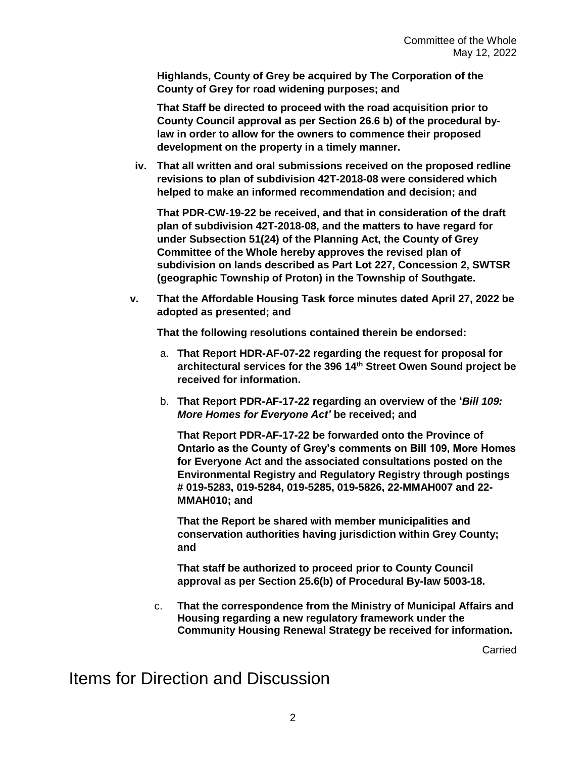**Highlands, County of Grey be acquired by The Corporation of the County of Grey for road widening purposes; and**

**That Staff be directed to proceed with the road acquisition prior to County Council approval as per Section 26.6 b) of the procedural bylaw in order to allow for the owners to commence their proposed development on the property in a timely manner.**

**iv. That all written and oral submissions received on the proposed redline revisions to plan of subdivision 42T-2018-08 were considered which helped to make an informed recommendation and decision; and**

**That PDR-CW-19-22 be received, and that in consideration of the draft plan of subdivision 42T-2018-08, and the matters to have regard for under Subsection 51(24) of the Planning Act, the County of Grey Committee of the Whole hereby approves the revised plan of subdivision on lands described as Part Lot 227, Concession 2, SWTSR (geographic Township of Proton) in the Township of Southgate.**

**v. That the Affordable Housing Task force minutes dated April 27, 2022 be adopted as presented; and**

**That the following resolutions contained therein be endorsed:**

- a. **That Report HDR-AF-07-22 regarding the request for proposal for architectural services for the 396 14th Street Owen Sound project be received for information.**
- b. **That Report PDR-AF-17-22 regarding an overview of the '***Bill 109: More Homes for Everyone Act'* **be received; and**

**That Report PDR-AF-17-22 be forwarded onto the Province of Ontario as the County of Grey's comments on Bill 109, More Homes for Everyone Act and the associated consultations posted on the Environmental Registry and Regulatory Registry through postings # 019-5283, 019-5284, 019-5285, 019-5826, 22-MMAH007 and 22- MMAH010; and**

**That the Report be shared with member municipalities and conservation authorities having jurisdiction within Grey County; and**

**That staff be authorized to proceed prior to County Council approval as per Section 25.6(b) of Procedural By-law 5003-18.**

c. **That the correspondence from the Ministry of Municipal Affairs and Housing regarding a new regulatory framework under the Community Housing Renewal Strategy be received for information.** 

Carried

Items for Direction and Discussion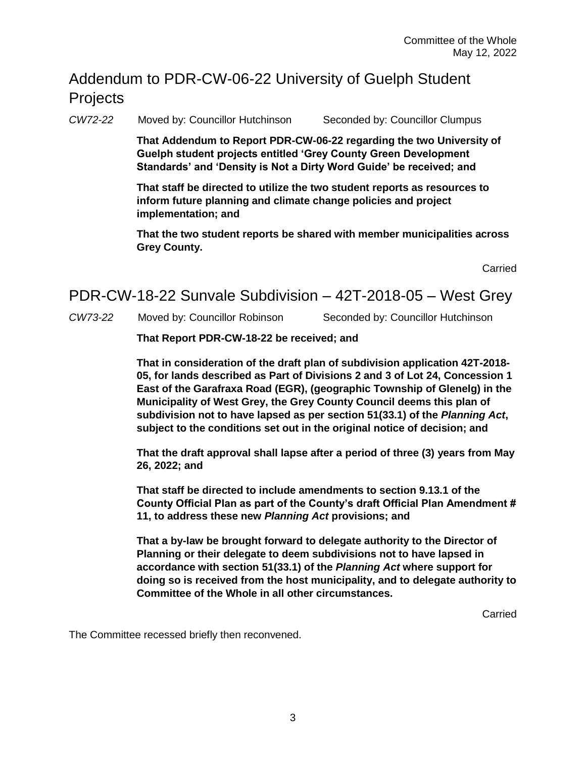#### Addendum to PDR-CW-06-22 University of Guelph Student **Projects**

*CW72-22* Moved by: Councillor Hutchinson Seconded by: Councillor Clumpus

**That Addendum to Report PDR-CW-06-22 regarding the two University of Guelph student projects entitled 'Grey County Green Development Standards' and 'Density is Not a Dirty Word Guide' be received; and**

**That staff be directed to utilize the two student reports as resources to inform future planning and climate change policies and project implementation; and**

**That the two student reports be shared with member municipalities across Grey County.**

Carried

#### PDR-CW-18-22 Sunvale Subdivision – 42T-2018-05 – West Grey

*CW73-22* Moved by: Councillor Robinson Seconded by: Councillor Hutchinson

#### **That Report PDR-CW-18-22 be received; and**

**That in consideration of the draft plan of subdivision application 42T-2018- 05, for lands described as Part of Divisions 2 and 3 of Lot 24, Concession 1 East of the Garafraxa Road (EGR), (geographic Township of Glenelg) in the Municipality of West Grey, the Grey County Council deems this plan of subdivision not to have lapsed as per section 51(33.1) of the** *Planning Act***, subject to the conditions set out in the original notice of decision; and**

**That the draft approval shall lapse after a period of three (3) years from May 26, 2022; and** 

**That staff be directed to include amendments to section 9.13.1 of the County Official Plan as part of the County's draft Official Plan Amendment # 11, to address these new** *Planning Act* **provisions; and**

**That a by-law be brought forward to delegate authority to the Director of Planning or their delegate to deem subdivisions not to have lapsed in accordance with section 51(33.1) of the** *Planning Act* **where support for doing so is received from the host municipality, and to delegate authority to Committee of the Whole in all other circumstances.**

Carried

The Committee recessed briefly then reconvened.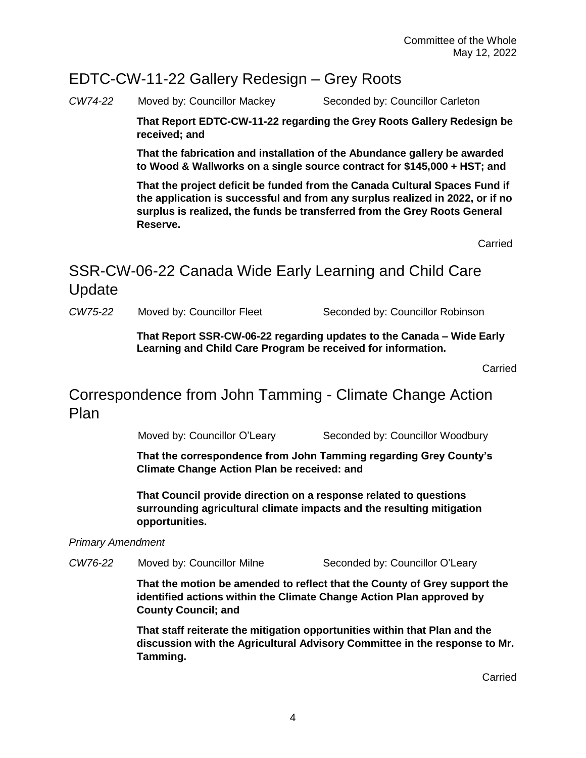#### EDTC-CW-11-22 Gallery Redesign – Grey Roots

*CW74-22* Moved by: Councillor Mackey Seconded by: Councillor Carleton

**That Report EDTC-CW-11-22 regarding the Grey Roots Gallery Redesign be received; and**

**That the fabrication and installation of the Abundance gallery be awarded to Wood & Wallworks on a single source contract for \$145,000 + HST; and**

**That the project deficit be funded from the Canada Cultural Spaces Fund if the application is successful and from any surplus realized in 2022, or if no surplus is realized, the funds be transferred from the Grey Roots General Reserve.** 

**Carried** 

### SSR-CW-06-22 Canada Wide Early Learning and Child Care Update

*CW75-22* Moved by: Councillor Fleet Seconded by: Councillor Robinson

**That Report SSR-CW-06-22 regarding updates to the Canada – Wide Early Learning and Child Care Program be received for information.** 

Carried

Correspondence from John Tamming - Climate Change Action Plan

Moved by: Councillor O'Leary Seconded by: Councillor Woodbury

**That the correspondence from John Tamming regarding Grey County's Climate Change Action Plan be received: and** 

**That Council provide direction on a response related to questions surrounding agricultural climate impacts and the resulting mitigation opportunities.**

*Primary Amendment*

*CW76-22* Moved by: Councillor Milne Seconded by: Councillor O'Leary

**That the motion be amended to reflect that the County of Grey support the identified actions within the Climate Change Action Plan approved by County Council; and**

**That staff reiterate the mitigation opportunities within that Plan and the discussion with the Agricultural Advisory Committee in the response to Mr. Tamming.** 

Carried